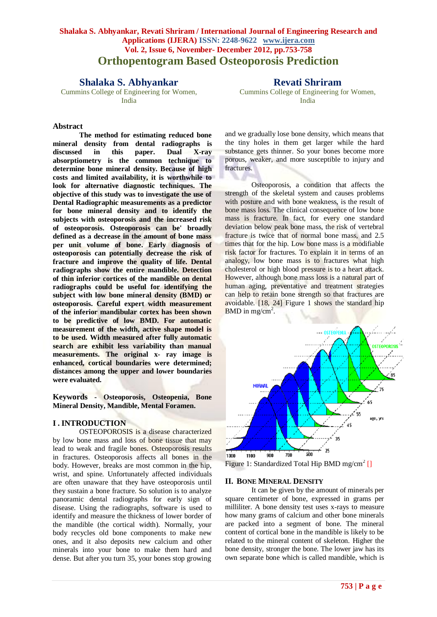# **Shalaka S. Abhyankar, Revati Shriram / International Journal of Engineering Research and Applications (IJERA) ISSN: 2248-9622 www.ijera.com Vol. 2, Issue 6, November- December 2012, pp.753-758 Orthopentogram Based Osteoporosis Prediction**

# **Shalaka S. Abhyankar**

Cummins College of Engineering for Women, India

## **Revati Shriram**

Cummins College of Engineering for Women, India

## **Abstract**

**The method for estimating reduced bone mineral density from dental radiographs is discussed in this paper. Dual X-ray absorptiometry is the common technique to determine bone mineral density. Because of high costs and limited availability, it is worthwhile to look for alternative diagnostic techniques. The objective of this study was to investigate the use of Dental Radiographic measurements as a predictor for bone mineral density and to identify the subjects with osteoporosis and the increased risk of osteoporosis. Osteoporosis can be' broadly defined as a decrease in the amount of bone mass per unit volume of bone. Early diagnosis of osteoporosis can potentially decrease the risk of fracture and improve the quality of life. Dental radiographs show the entire mandible. Detection of thin inferior cortices of the mandible on dental radiographs could be useful for identifying the subject with low bone mineral density (BMD) or osteoporosis. Careful expert width measurement of the inferior mandibular cortex has been shown to be predictive of low BMD. For automatic measurement of the width, active shape model is to be used. Width measured after fully automatic search are exhibit less variability than manual measurements. The original x- ray image is enhanced, cortical boundaries were determined; distances among the upper and lower boundaries were evaluated.**

**Keywords - Osteoporosis, Osteopenia, Bone Mineral Density, Mandible, Mental Foramen.**

## **I . INTRODUCTION**

OSTEOPOROSIS is a disease characterized by low bone mass and loss of bone tissue that may lead to weak and fragile bones. Osteoporosis results in fractures. Osteoporosis affects all bones in the body. However, breaks are most common in the hip, wrist, and spine. Unfortunately affected individuals are often unaware that they have osteoporosis until they sustain a bone fracture. So solution is to analyze panoramic dental radiographs for early sign of disease. Using the radiographs, software is used to identify and measure the thickness of lower border of the mandible (the cortical width). Normally, your body recycles old bone components to make new ones, and it also deposits new calcium and other minerals into your bone to make them hard and dense. But after you turn 35, your bones stop growing

and we gradually lose bone density, which means that the tiny holes in them get larger while the hard substance gets thinner. So your bones become more porous, weaker, and more susceptible to injury and fractures.

Osteoporosis, a condition that affects the strength of the skeletal system and causes problems with posture and with bone weakness, is the result of bone mass loss. The clinical consequence of low bone mass is fracture. In fact, for every one standard deviation below peak bone mass, the risk of vertebral fracture is twice that of normal bone mass, and 2.5 times that for the hip. Low bone mass is a modifiable risk factor for fractures. To explain it in terms of an analogy, low bone mass is to fractures what high cholesterol or high blood pressure is to a heart attack. However, although bone mass loss is a natural part of human aging, preventative and treatment strategies can help to retain bone strength so that fractures are avoidable. [18, 24] Figure 1 shows the standard hip BMD in mg/cm<sup>2</sup>.



Figure 1: Standardized Total Hip BMD mg/cm<sup>2</sup> []

### **II. BONE MINERAL DENSITY**

It can be given by the amount of minerals per square centimeter of bone, expressed in grams per milliliter. A bone density test uses x-rays to measure how many grams of calcium and other bone minerals are packed into a segment of bone. The mineral content of cortical bone in the mandible is likely to be related to the mineral content of skeleton. Higher the bone density, stronger the bone. The lower jaw has its own separate bone which is called mandible, which is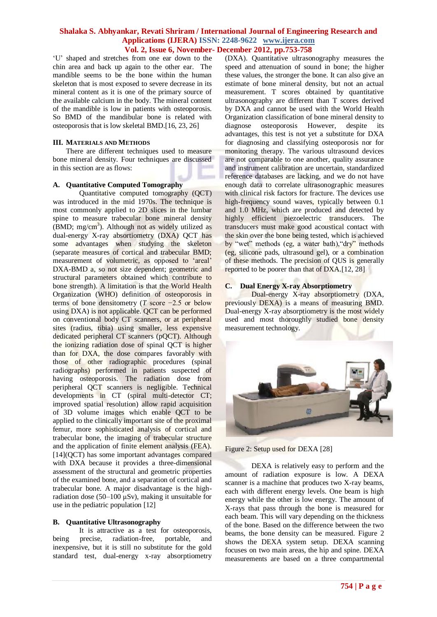"U" shaped and stretches from one ear down to the chin area and back up again to the other ear. The mandible seems to be the bone within the human skeleton that is most exposed to severe decrease in its mineral content as it is one of the primary source of the available calcium in the body. The mineral content of the mandible is low in patients with osteoporosis. So BMD of the mandibular bone is related with osteoporosis that is low skeletal BMD.[16, 23, 26]

## **III. MATERIALS AND METHODS**

There are different techniques used to measure bone mineral density. Four techniques are discussed in this section are as flows:

#### **A. Quantitative Computed Tomography**

Quantitative computed tomography (QCT) was introduced in the mid 1970s. The technique is most commonly applied to 2D slices in the lumbar spine to measure trabecular bone mineral density  $(BMD; mg/cm<sup>3</sup>)$ . Although not as widely utilized as dual-energy X-ray absortiometry (DXA) QCT has some advantages when studying the skeleton (separate measures of cortical and trabecular BMD; measurement of volumetric, as opposed to 'areal' DXA-BMD a, so not size dependent; geometric and structural parameters obtained which contribute to bone strength). A limitation is that the World Health Organization (WHO) definition of osteoporosis in terms of bone densitometry (*T* score −2.5 or below using DXA) is not applicable. QCT can be performed on conventional body CT scanners, or at peripheral sites (radius, tibia) using smaller, less expensive dedicated peripheral CT scanners (pQCT). Although the ionizing radiation dose of spinal QCT is higher than for DXA, the dose compares favorably with those of other radiographic procedures (spinal radiographs) performed in patients suspected of having osteoporosis. The radiation dose from peripheral QCT scanners is negligible. Technical developments in CT (spiral multi-detector CT; improved spatial resolution) allow rapid acquisition of 3D volume images which enable QCT to be applied to the clinically important site of the proximal femur, more sophisticated analysis of cortical and trabecular bone, the imaging of trabecular structure and the application of finite element analysis (FEA). [14](QCT) has some important advantages compared with DXA because it provides a three-dimensional assessment of the structural and geometric properties of the examined bone, and a separation of cortical and trabecular bone. A major disadvantage is the highradiation dose (50–100 μSv), making it unsuitable for use in the pediatric population [12]

#### **B. Quantitative Ultrasonography**

It is attractive as a test for osteoporosis, being precise, radiation-free, portable, and inexpensive, but it is still no substitute for the gold standard test, dual-energy x-ray absorptiometry (DXA). Quantitative ultrasonography measures the speed and attenuation of sound in bone; the higher these values, the stronger the bone. It can also give an estimate of bone mineral density, but not an actual measurement. T scores obtained by quantitative ultrasonography are different than T scores derived by DXA and cannot be used with the World Health Organization classification of bone mineral density to diagnose osteoporosis However, despite its advantages, this test is not yet a substitute for DXA for diagnosing and classifying osteoporosis nor for monitoring therapy. The various ultrasound devices are not comparable to one another, quality assurance and instrument calibration are uncertain, standardized reference databases are lacking, and we do not have enough data to correlate ultrasonographic measures with clinical risk factors for fracture. The devices use high-frequency sound waves, typically between 0.1 and 1.0 MHz, which are produced and detected by highly efficient piezoelectric transducers. The transducers must make good acoustical contact with the skin over the bone being tested, which is achieved by "wet" methods (eg, a water bath),"dry" methods (eg, silicone pads, ultrasound gel), or a combination of these methods. The precision of QUS is generally reported to be poorer than that of DXA.[12, 28] **[**

#### **C. Dual Energy X-ray Absorptiometry**

Dual-energy X-ray absorptiometry (DXA, previously DEXA) is a means of measuring BMD. Dual-energy X-ray absorptiometry is the most widely used and most thoroughly studied bone density measurement technology.



Figure 2: Setup used for DEXA [28]

DEXA is relatively easy to perform and the amount of radiation exposure is low. A DEXA scanner is a machine that produces two X-ray beams, each with different energy levels. One beam is high energy while the other is low energy. The amount of X-rays that pass through the bone is measured for each beam. This will vary depending on the thickness of the bone. Based on the difference between the two beams, the bone density can be measured. Figure 2 shows the DEXA system setup. DEXA scanning focuses on two main areas, the hip and spine. DEXA measurements are based on a three compartmental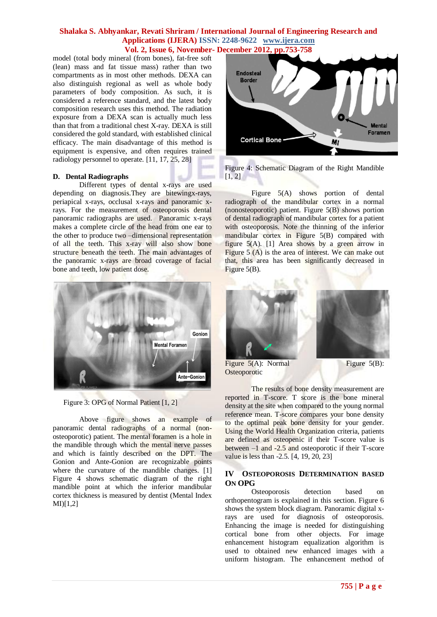model (total body mineral (from bones), fat-free soft (lean) mass and fat tissue mass) rather than two compartments as in most other methods. DEXA can also distinguish regional as well as whole body parameters of body composition. As such, it is considered a reference standard, and the latest body composition research uses this method. The radiation exposure from a DEXA scan is actually much less than that from a traditional chest X-ray. DEXA is still considered the gold standard, with established clinical efficacy. The main disadvantage of this method is equipment is expensive, and often requires trained radiology personnel to operate. [11, 17, 25, 28]

#### **D. Dental Radiographs**

Different types of dental x-rays are used depending on diagnosis.They are bitewingx-rays, periapical x-rays, occlusal x-rays and panoramic xrays. For the measurement of osteoporosis dental panoramic radiographs are used. Panoramic x-rays makes a complete circle of the head from one ear to the other to produce two –dimensional representation of all the teeth. This x-ray will also show bone structure beneath the teeth. The main advantages of the panoramic x-rays are broad coverage of facial bone and teeth, low patient dose.



Figure 3: OPG of Normal Patient [1, 2]

Above figure shows an example of panoramic dental radiographs of a normal (nonosteoporotic) patient. The mental foramen is a hole in the mandible through which the mental nerve passes and which is faintly described on the DPT. The Gonion and Ante-Gonion are recognizable points where the curvature of the mandible changes. [1] Figure 4 shows schematic diagram of the right mandible point at which the inferior mandibular cortex thickness is measured by dentist (Mental Index MI)[1,2]





Figure 5(A) shows portion of dental radiograph of the mandibular cortex in a normal (nonosteoporotic) patient. Figure 5(B) shows portion of dental radiograph of mandibular cortex for a patient with osteoporosis. Note the thinning of the inferior mandibular cortex in Figure 5(B) compared with figure 5(A). [1] Area shows by a green arrow in Figure  $5(A)$  is the area of interest. We can make out that, this area has been significantly decreased in Figure 5(B).



Figure  $5(A)$ : Normal Figure  $5(B)$ : **Osteoporotic** 

The results of bone density measurement are reported in T-score. T score is the bone mineral density at the site when compared to the young normal reference mean. T-score compares your bone density to the optimal peak bone density for your gender. Using the World Health Organization criteria, patients are defined as osteopenic if their T-score value is between –1 and -2.5 and osteoporotic if their T-score value is less than -2.5. [4, 19, 20, 23]

## **IV OSTEOPOROSIS DETERMINATION BASED ON OPG**

Osteoporosis detection based on orthopentogram is explained in this section. Figure 6 shows the system block diagram. Panoramic digital xrays are used for diagnosis of osteoporosis. Enhancing the image is needed for distinguishing cortical bone from other objects. For image enhancement histogram equalization algorithm is used to obtained new enhanced images with a uniform histogram. The enhancement method of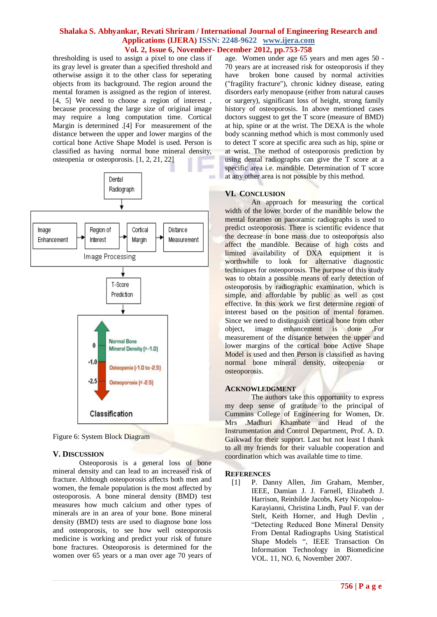thresholding is used to assign a pixel to one class if its gray level is greater than a specified threshold and otherwise assign it to the other class for seperating objects from its background. The region around the mental foramen is assigned as the region of interest. [4, 5] We need to choose a region of interest, because processing the large size of original image may require a long computation time. Cortical Margin is determined .[4] For measurement of the distance between the upper and lower margins of the cortical bone Active Shape Model is used. Person is classified as having normal bone mineral density, osteopenia or osteoporosis. [1, 2, 21, 22]



Figure 6: System Block Diagram

#### **V. DISCUSSION**

Osteoporosis is a general loss of bone mineral density and can lead to an increased risk of fracture. Although osteoporosis affects both men and women, the female population is the most affected by osteoporosis. A bone mineral density (BMD) test measures how much calcium and other types of minerals are in an area of your bone. Bone mineral density (BMD) tests are used to diagnose bone loss and osteoporosis, to see how well osteoporosis medicine is working and predict your risk of future bone fractures. Osteoporosis is determined for the women over 65 years or a man over age 70 years of

age. Women under age 65 years and men ages 50 - 70 years are at increased risk for osteoporosis if they have broken bone caused by normal activities ("fragility fracture"), [chronic kidney disease,](http://www.nlm.nih.gov/medlineplus/ency/article/000471.htm) eating disorders earl[y menopause](http://www.nlm.nih.gov/medlineplus/ency/article/000894.htm) (either from natural causes or surgery), significant loss of height, strong family history of osteoporosis. In above mentioned cases doctors suggest to get the T score (measure of BMD) at hip, spine or at the wrist. The DEXA is the whole body scanning method which is most commonly used to detect T score at specific area such as hip, spine or at wrist. The method of osteoporosis prediction by using dental radiographs can give the T score at a specific area i.e. mandible. Determination of T score at any other area is not possible by this method.

## **VI. CONCLUSION**

An approach for measuring the cortical width of the lower border of the mandible below the mental foramen on panoramic radiographs is used to predict osteoporosis. There is scientific evidence that the decrease in bone mass due to osteoporosis also affect the mandible. Because of high costs and limited availability of DXA equipment it is worthwhile to look for alternative diagnostic techniques for osteoporosis. The purpose of this study was to obtain a possible means of early detection of osteoporosis by radiographic examination, which is simple, and affordable by public as well as cost effective. In this work we first determine region of interest based on the position of mental foramen. Since we need to distinguish cortical bone from other object, image enhancement is done .For measurement of the distance between the upper and lower margins of the cortical bone Active Shape Model is used and then Person is classified as having normal bone mineral density, osteopenia or osteoporosis.

#### **ACKNOWLEDGMENT**

The authors take this opportunity to express my deep sense of gratitude to the principal of Cummins College of Engineering for Women, Dr. Mrs .Madhuri Khambate and Head of the Instrumentation and Control Department, Prof. A. D. Gaikwad for their support. Last but not least I thank to all my friends for their valuable cooperation and coordination which was available time to time.

#### **REFERENCES**

[1] P. Danny Allen, Jim Graham, Member, IEEE, Damian J. J. Farnell, Elizabeth J. Harrison, Reinhilde Jacobs, Kety Nicopolou-Karayianni, Christina Lindh, Paul F. van der Stelt, Keith Horner, and Hugh Devlin , "Detecting Reduced Bone Mineral Density From Dental Radiographs Using Statistical Shape Models ", IEEE Transaction On Information Technology in Biomedicine VOL. 11, NO. 6, November 2007.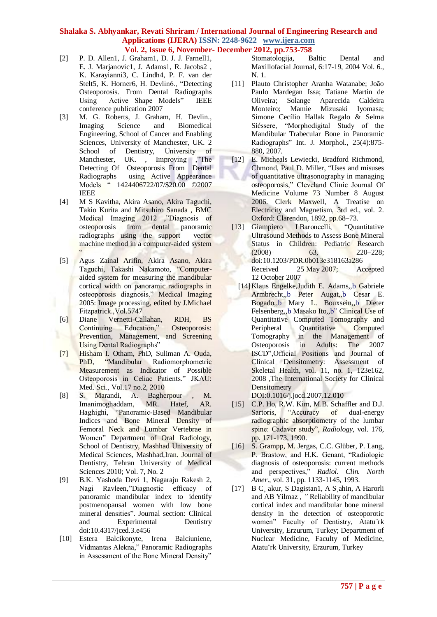- [2] P. D. Allen1, J. Graham1, D. J. J. Farnell1, E. J. Marjanovic1, J. Adams1, R. Jacobs2 , K. Karayianni3, C. Lindh4, P. F. van der Stelt5, K. Horner6, H. Devlin6., "Detecting Osteoporosis. From Dental Radiographs Using Active Shape Models" IEEE conference publication 2007
- [3] M. G. Roberts, J. Graham, H. Devlin., Imaging Science and Biomedical Engineering, School of Cancer and Enabling Sciences, University of Manchester, UK. 2 School of Dentistry, University of Manchester, UK. , Improving ,"The Detecting Of Osteoporosis FromDental Radiographs using Active Appearance Models " 1424406722/07/\$20.00 ©2007 IEEE
- [4] M S Kavitha, Akira Asano, Akira Taguchi, Takio Kurita and Mitsuhiro Sanada , BMC Medical Imaging 2012 ,"Diagnosis of osteoporosis from dental panoramic radiographs using the support vector machine method in a computer-aided system  $\overline{\phantom{a}}$
- [5] Agus Zainal Arifin, Akira Asano, Akira Taguchi, Takashi Nakamoto, "Computeraided system for measuring the mandibular cortical width on panoramic radiographs in osteoporosis diagnosis." Medical Imaging 2005: Image processing, edited by J.Michael Fitzpatrick.,Vol.5747
- [6] Diane Vernetti-Callahan, RDH, BS Continuing Education," Osteoporosis: Prevention, Management, and Screening Using Dental Radiographs"
- [7] Hisham I. Otham, PhD, Suliman A. Ouda, PhD, "Mandibular Radiomorphometric Measurement as Indicator of Possible Osteoporosis in Celiac Patients." JKAU: Med. Sci., Vol.17 no.2, 2010
- [8] S. Marandi, A. Bagherpour , M. Imanimoghaddam, MR. Hatef, AR. Haghighi, "Panoramic-Based Mandibular Indices and Bone Mineral Density of Femoral Neck and Lumbar Vertebrae in Women" Department of Oral Radiology, School of Dentistry, Mashhad University of Medical Sciences, Mashhad,Iran. Journal of Dentistry, Tehran University of Medical Sciences 2010; Vol. 7, No. 2
- [9] B.K. Yashoda Devi 1, Nagaraju Rakesh 2, Nagi Ravleen,"Diagnostic efficacy of panoramic mandibular index to identify postmenopausal women with low bone mineral densities". Journal section: Clinical and Experimental Dentistry doi:10.4317/jced.3.e456
- [10] Estera Balcikonyte, Irena Balciuniene, Vidmantas Alekna," Panoramic Radiographs in Assessment of the Bone Mineral Density"

Stomatologija, Baltic Dental and Maxillofacial Journal, 6:17-19, 2004 Vol. 6., N. 1.

- [11] Plauto Christopher Aranha Watanabe; João Paulo Mardegan Issa; Tatiane Martin de Oliveira; Solange Aparecida Caldeira Monteiro; Mamie Mizusaki Iyomasa; Simone Cecílio Hallak Regalo & Selma Siéssere, "Morphodigital Study of the Mandibular Trabecular Bone in Panoramic Radiographs" Int. J. Morphol., 25(4):875- 880, 2007.
- [12] E. Micheals Lewiecki, Bradford Richmond, Chmond, Paul D. Miller, "Uses and misuses of quantitative ultrasonography in managing osteoporosis," Cleveland Clinic Journal Of Medicine Volume 73 Number 8 August 2006. Clerk Maxwell, A Treatise on Electricity and Magnetism, 3rd ed., vol. 2. Oxford: Clarendon, 1892, pp.68–73.
- [13] Giampiero I Baroncelli, "Quantitative Ultrasound Methods to Assess Bone Mineral Status in Children: Pediatric Research (2008) 63, 220–228; doi:10.1203/PDR.0b013e318163a286 Received 25 May 2007; Accepted 12 October 2007
- [14]Klaus Engelke,Judith E. Adams,,b Gabriele Armbrecht,,b Peter Augat,,b Cesar E. Bogado,,b Mary L. Bouxsein,,b Dieter Felsenberg,,b Masako Ito,,b" Clinical Use of Quantitative Computed Tomography and Peripheral Quantitative Computed Tomography in the Management of Osteoporosis in Adults: The 2007 ISCD",Official Positions and Journal of Clinical Densitometry: Assessment of Skeletal Health, vol. 11, no. 1, 123e162, 2008 ,The International Society for Clinical **Densitometry**

DOI:0.1016/j.jocd.2007.12.010

- [15] C.P. Ho, R.W. Kim, M.B. Schaffler and D.J. Sartoris, "Accuracy of dual-energy radiographic absorptiometry of the lumbar spine: Cadaver study", *Radiology*, vol. 176, pp. 171-173, 1990.
- [16] S. Grampp, M. Jergas, C.C. Glüber, P. Lang, P. Brastow, and H.K. Genant, "Radiologic diagnosis of osteoporosis: current methods and perspectives," *Radiol. Clin. North Amer*., vol. 31, pp. 1133-1145, 1993.
- [17] B C¸ akur, S Dagistan1, A S¸ahin, A Harorli and AB Yilmaz , *"* Reliability of mandibular cortical index and mandibular bone mineral density in the detection of osteoporotic women" Faculty of Dentistry, Atatu¨rk University, Erzurum, Turkey; Department of Nuclear Medicine, Faculty of Medicine, Atatu¨rk University, Erzurum, Turkey